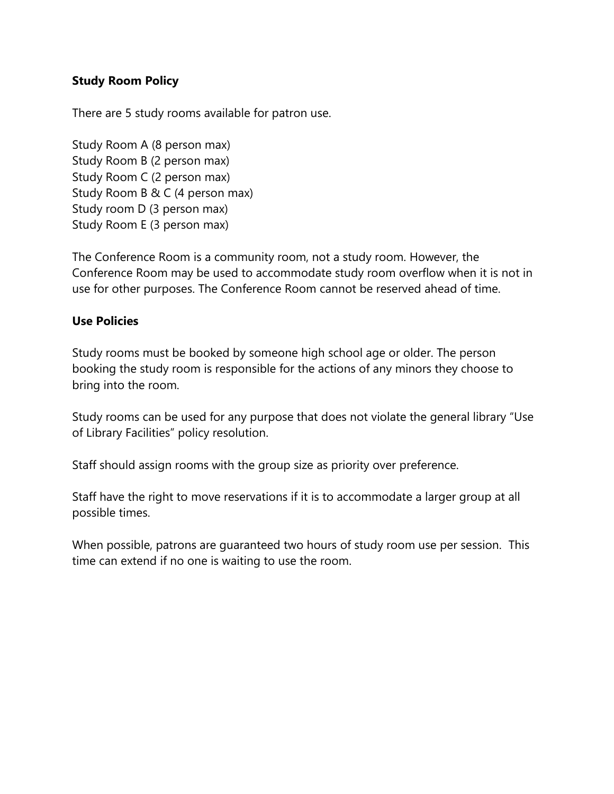## **Study Room Policy**

There are 5 study rooms available for patron use.

Study Room A (8 person max) Study Room B (2 person max) Study Room C (2 person max) Study Room B & C (4 person max) Study room D (3 person max) Study Room E (3 person max)

The Conference Room is a community room, not a study room. However, the Conference Room may be used to accommodate study room overflow when it is not in use for other purposes. The Conference Room cannot be reserved ahead of time.

## **Use Policies**

Study rooms must be booked by someone high school age or older. The person booking the study room is responsible for the actions of any minors they choose to bring into the room.

Study rooms can be used for any purpose that does not violate the general library "Use of Library Facilities" policy resolution.

Staff should assign rooms with the group size as priority over preference.

Staff have the right to move reservations if it is to accommodate a larger group at all possible times.

When possible, patrons are guaranteed two hours of study room use per session. This time can extend if no one is waiting to use the room.